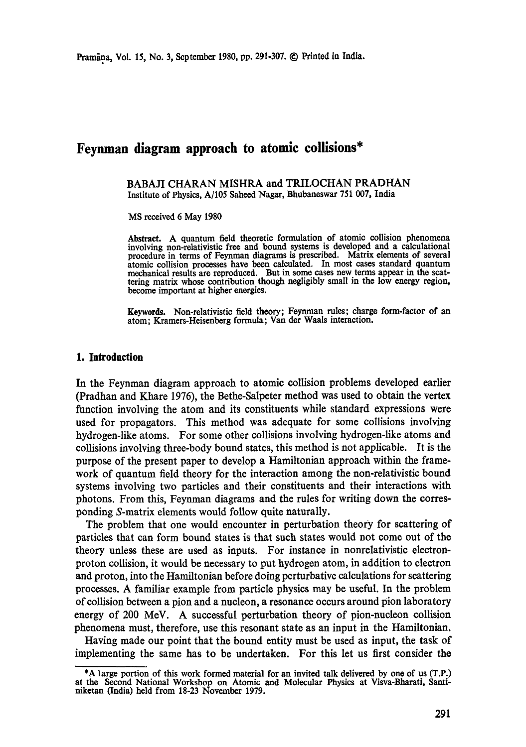# **Feynman diagram approach to atomic collisions\***

BABAJI CHARAN MISHRA and TRILOCHAN PRADHAN Institute of Physics, A/105 Saheed Nagar, Bhubaneswar 751 007, India

MS received 6 May 1980

Abstract. A quantum field theoretic formulation of atomic collision phenomena involving non-relativistic free and bound systems is developed and a calculational procedure in terms of Feynman diagrams is prescribed. Matrix elements of several atomic collision processes have been calculated. In most cases standard quantum mechanical results are reproduced. But in some eases new terms appear in the scattering matrix whose contribution though negligibly small in the low energy region, become important at higher energies.

Keywords. Non-relativistic field theory; Feynman rules; charge form-factor of an atom; Kramers-Heisenberg formula; Van der Waals interaction.

#### **1. Introduction**

In the Feynman diagram approach to atomic collision problems developed earlier (Pradhan and Khare 1976), the Bethe-Salpeter method was used to obtain the vertex function involving the atom and its constituents while standard expressions were used for propagators. This method was adequate for some collisions involving hydrogen-like atoms. For some other collisions involving hydrogen-like atoms and collisions involving three-body bound states, this method is not applicable. It is the purpose of the present paper to develop a Hamiltonian approach within the framework of quantum field theory for the interaction among the non-relativistic bound systems involving two particles and their constituents and their interactions with photons. From this, Feynman diagrams and the rules for writing down the corresponding S-matrix elements would follow quite naturally.

The problem that one would encounter in perturbation theory for scattering of particles that can form bound states is that such states would not come out of the theory unless these are used as inputs. For instance in nonrelativistie electronproton collision, it would be necessary to put hydrogen atom, in addition to electron and proton, into the Hamiltonian before doing perturbative calculations for scattering processes. A familiar example from particle physics may be useful. In the problem of collision between a pion and a nucleon, a resonance occurs around pion laboratory energy of 200 MeV. A successful perturbation theory of pion-nucleon collision phenomena must, therefore, use this resonant state as an input in the Hamiltonian.

Having made our point that the bound entity must be used as input, the task of implementing the same has to be undertaken. For this let us first consider the

<sup>\*</sup>A largo portion of this work formed material for an invited talk delivered by one of us (T.P.) at the Second National Workshop on Atomic and Molecular Physics at Visva-Bharati, Santinikotan (India) held from 18-23 November 1979.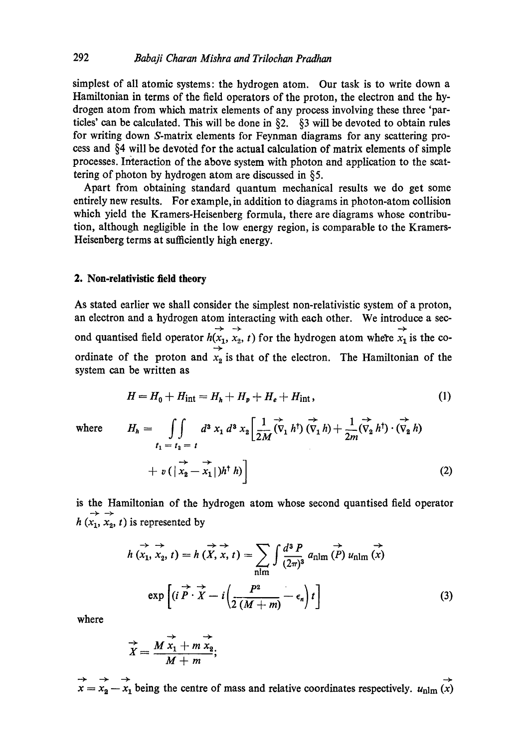simplest of all atomic systems: the hydrogen atom. Our task is to write down a Hamiltonian in terms of the field operators of the proton, the electron and the hydrogen atom from which matrix elements of any process involving these three 'partides' can be calculated. This will be done in §2. §3 will be devoted to obtain rules for writing down S-matrix elements for Feynman diagrams for any scattering process and §4 will be devoted for the actual calculation of matrix elements of simple processes. Interaction of the above system with photon and application to the scattering of photon by hydrogen atom are discussed in §5.

Apart from obtaining standard quantum mechanical results we do get some entirely new results. For example, in addition to diagrams in photon-atom collision which yield the Kramers-Heisenberg formula, there are diagrams whose contribution, although negligible in the low energy region, is comparable to the Kramers-Heisenberg terms at sufficiently high energy.

## 2. Non-relativistic field theory

As stated earlier we shall consider the simplest non-relativistic system of a proton, an electron and a hydrogen atom interacting with each other. We introduce a see-  $\overline{+}$  .  $\overline{+}$ ond quantised field operator  $h(x_1, x_2, t)$  for the hydrogen atom where  $x_1$  is the coordinate of the proton and  $x_2$  is that of the electron. The Hamiltonian of the system can be written as

$$
H = H_0 + H_{\text{int}} = H_h + H_p + H_e + H_{\text{int}}, \tag{1}
$$

where 
$$
H_h = \iint\limits_{t_1 = t_2 = t} d^3 x_1 d^3 x_2 \left[ \frac{1}{2M} (\vec{v}_1 h^{\dagger}) (\vec{v}_1 h) + \frac{1}{2m} (\vec{v}_2 h^{\dagger}) \cdot (\vec{v}_2 h) + v \left( \vec{v}_2 - \vec{x}_1 \right) h^{\dagger} h \right]
$$
(2)

is the Hamiltonian of the hydrogen atom whose second quantised field operator  $h(x_1, x_2, t)$  is represented by

$$
h\stackrel{\rightarrow}{(x_1, x_2, t)} = h\stackrel{\rightarrow}{(X, x, t)} = \sum_{\text{nlm}} \int \frac{d^3 P}{(2\pi)^3} a_{\text{nlm}} \stackrel{\rightarrow}{(P)} u_{\text{nlm}} (x)
$$
  
\n
$$
\exp\left[ (i \stackrel{\rightarrow}{P} \cdot \stackrel{\rightarrow}{X} - i \left( \frac{P^2}{2(M+m)} - \epsilon_n \right) t \right]
$$
 (3)

where

$$
\overrightarrow{X} = \frac{M \overrightarrow{x_1} + m \overrightarrow{x_2}}{M + m};
$$

x ---- xa -- x i being the centre of mass and relative coordinates respectively. Unlm (x)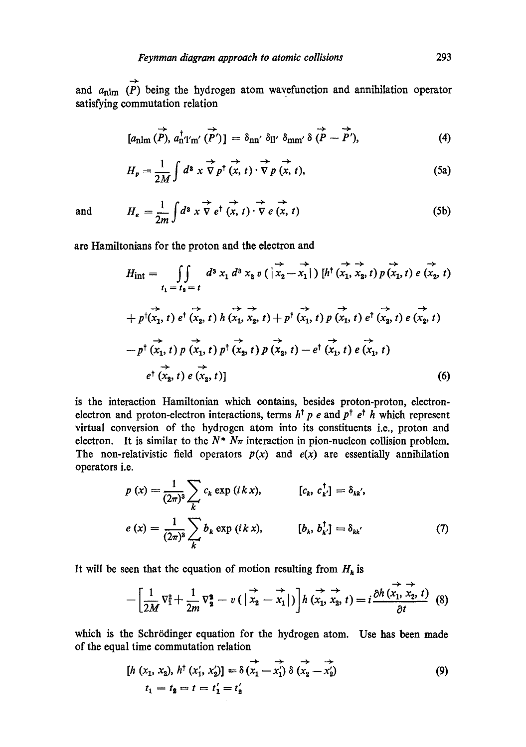and  $a_{nlm}$  (P) being the hydrogen atom wavefunction and annihilation operator satisfying commutation relation

$$
[a_{\rm nlm}(\vec{P}), a_{\rm n'l'm'}^{\dagger}(\vec{P'})] = \delta_{\rm nn'} \delta_{\rm ll'} \delta_{\rm mm'} \delta(\vec{P}-\vec{P'}), \qquad (4)
$$

$$
H_p = \frac{1}{2M} \int d^3 x \stackrel{\rightarrow}{\nabla} p^{\dagger} (x, t) \cdot \stackrel{\rightarrow}{\nabla} p (x, t), \qquad (5a)
$$

and 
$$
H_e = \frac{1}{2m} \int d^3 x \overrightarrow{\nabla} e^{\dagger} (x, t) \cdot \overrightarrow{\nabla} e (x, t)
$$
 (5b)

are Hamiltonians for the proton and the electron and

$$
H_{int} = \iint_{t_{1} = t_{2} = t} d^{3} x_{1} d^{3} x_{2} v\left(\vec{x}_{2} - \vec{x}_{1}\right) [h^{\dagger} (\vec{x}_{1}, \vec{x}_{2}, t) p(\vec{x}_{1}, t) e(\vec{x}_{2}, t) + p^{\dagger} (\vec{x}_{1}, t) e^{\dagger} (\vec{x}_{2}, t) h(\vec{x}_{1}, \vec{x}_{2}, t) + p^{\dagger} (\vec{x}_{1}, t) p(\vec{x}_{1}, t) e^{\dagger} (\vec{x}_{2}, t) e(\vec{x}_{2}, t) - p^{\dagger} (\vec{x}_{1}, t) p(\vec{x}_{1}, t) p(\vec{x}_{2}, t) - e^{\dagger} (\vec{x}_{1}, t) e(\vec{x}_{1}, t) e(\vec{x}_{1}, t) + p^{\dagger} (\vec{x}_{2}, t) e(\vec{x}_{2}, t) + p^{\dagger} (\vec{x}_{2}, t) e(\vec{x}_{2}, t) + p^{\dagger} (\vec{x}_{2}, t) e(\vec{x}_{2}, t) + p^{\dagger} (\vec{x}_{2}, t) e(\vec{x}_{2}, t) + p^{\dagger} (\vec{x}_{2}, t) e(\vec{x}_{2}, t) + p^{\dagger} (\vec{x}_{2}, t) e(\vec{x}_{2}, t) + p^{\dagger} (\vec{x}_{2}, t) e(\vec{x}_{2}, t) + p^{\dagger} (\vec{x}_{2}, t) e(\vec{x}_{2}, t) + p^{\dagger} (\vec{x}_{2}, t) e(\vec{x}_{2}, t) + p^{\dagger} (\vec{x}_{2}, t) e(\vec{x}_{2}, t) + p^{\dagger} (\vec{x}_{2}, t) e(\vec{x}_{2}, t) + p^{\dagger} (\vec{x}_{2}, t) e(\vec{x}_{2}, t) + p^{\dagger} (\vec{x}_{2}, t) e(\vec{x}_{2}, t) + p^{\dagger} (\vec{x}_{2}, t) e(\vec{x}_{2}, t) + p^{\dagger} (\vec{x}_{2}, t) e(\vec{x}_{2}, t) + p^{\dagger} (\vec{x}_{2}, t) e(\vec{x}_{2}, t) + p^{\dagger} (\vec{x}_{2}, t) e(\vec{x}_{2}, t) + p^{\dagger} (\vec{x}_{2}, t) e(\vec{x}_{2}, t) + p^{\dagger} (\vec{x}_{2}, t) e(\vec{x}_{2}, t) + p^{\dagger} (\vec{x}_{2}, t) e(\vec{x}_{2}, t) + p^{\dagger} (\vec{x}_{2}, t) e(\vec{x}_{2}, t) + p^{\
$$

is the interaction Hamiltonian which contains, besides proton-proton, electronelectron and proton-electron interactions, terms  $h^{\dagger} p e$  and  $p^{\dagger} e^{\dagger} h$  which represent virtual conversion of the hydrogen atom into its constituents i.e., proton and electron. It is similar to the  $N^*$   $N_{\pi}$  interaction in pion-nucleon collision problem. The non-relativistic field operators  $p(x)$  and  $e(x)$  are essentially annihilation operators i.e.

$$
p(x) = \frac{1}{(2\pi)^3} \sum_{k} c_k \exp(ikx), \qquad [c_k, c_{k'}^{\dagger}] = \delta_{kk'},
$$
  

$$
e(x) = \frac{1}{(2\pi)^3} \sum_{k} b_k \exp(ikx), \qquad [b_k, b_{k'}^{\dagger}] = \delta_{kk'} \qquad (7)
$$

It will be seen that the equation of motion resulting from  $H_h$  is

$$
-\left[\frac{1}{2M}\nabla_1^2+\frac{1}{2m}\nabla_2^2-v\left(\left|\stackrel{\rightarrow}{x_2}-\stackrel{\rightarrow}{x_1}\right|\right)\right]h\left(\stackrel{\rightarrow}{x_1},\stackrel{\rightarrow}{x_2},t\right)=i\frac{\partial h\left(x_1,\stackrel{\rightarrow}{x_2},t\right)}{\partial t}\tag{8}
$$

 $\overline{a}$ 

which is the Schrödinger equation for the hydrogen atom. Use has been made of the equal time commutation relation

$$
[h (x1, x2), h† (x'1, x'2)] = \delta (\overrightarrow{x_1} - \overrightarrow{x_1}) \delta (\overrightarrow{x_2} - \overrightarrow{x_2})
$$
  
\n
$$
t_1 = t_2 = t = t'_1 = t'_2
$$
\n(9)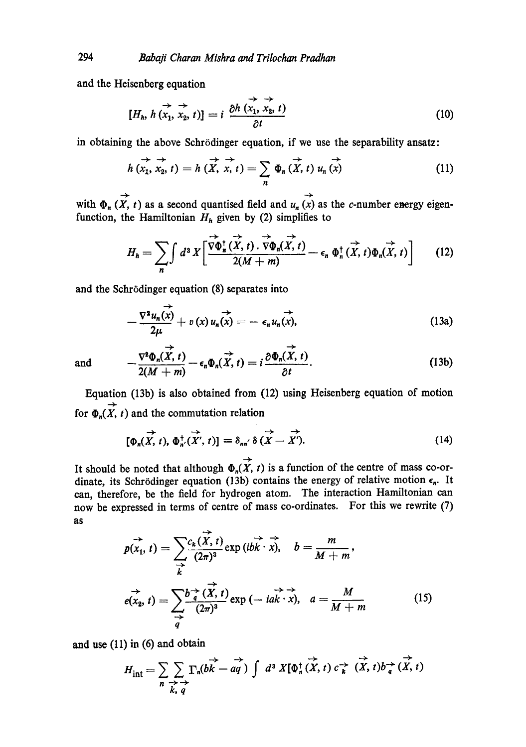and the Heisenberg equation

$$
[H_h, h(\overrightarrow{x_1}, \overrightarrow{x_2}, t)] = i \frac{\partial h(\overrightarrow{x_1}, \overrightarrow{x_2}, t)}{\partial t}
$$
 (10)

in obtaining the above Schrödinger equation, if we use the separability ansatz:

$$
h(x_1, x_2, t) = h(\overrightarrow{X}, x, t) = \sum_{n} \Phi_n(\overrightarrow{X}, t) u_n(\overrightarrow{x})
$$
 (11)

with  $\Phi_n(X, t)$  as a second quantised field and  $u_n(x)$  as the c-number energy eigenfunction, the Hamiltonian  $H_h$  given by (2) simplifies to

$$
H_{h} = \sum_{n} \int d^{3} X \left[ \frac{\overrightarrow{v} \Phi_{n}^{\dagger}(\overrightarrow{X},t) \cdot \overrightarrow{v} \Phi_{n}(\overrightarrow{X},t)}{2(M+m)} - \epsilon_{n} \Phi_{n}^{\dagger}(\overrightarrow{X},t) \Phi_{n}(\overrightarrow{X},t) \right]
$$
(12)

and the Schrödinger equation (8) separates into

$$
-\frac{\nabla^2 u_n(x)}{2\mu} + v(x) u_n(x) = -\epsilon_n u_n(x),
$$
\n(13a)

and 
$$
-\frac{\nabla^2 \Phi_n(\overrightarrow{X}, t)}{2(M+m)} - \epsilon_n \Phi_n(\overrightarrow{X}, t) = i \frac{\partial \Phi_n(\overrightarrow{X}, t)}{\partial t}.
$$
 (13b)

Equation (13b) is also obtained from (12) using Heisenberg equation of motion for  $\Phi_n(\vec{X}, t)$  and the commutation relation

$$
\overrightarrow{\left[\Phi_n(X,t),\Phi_n^{\dagger}(X',t)\right]} \equiv \delta_{nn'} \delta\left(X - \overrightarrow{X'}\right).
$$
 (14)

It should be noted that although  $\Phi_n(\vec{X}, t)$  is a function of the centre of mass co-ordinate, its Schrödinger equation (13b) contains the energy of relative motion  $\epsilon_n$ . It can, therefore, be the field for hydrogen atom. The interaction Hamiltonian can now be expressed in terms of centre of mass co-ordinates. For this we rewrite (7) as

$$
p(x_1, t) = \sum_{\substack{\rightarrow \\ k}} \frac{c_k(\overrightarrow{X}, t)}{(2\pi)^3} \exp(i\overrightarrow{bk} \cdot \overrightarrow{x}), \quad b = \frac{m}{M+m},
$$
  

$$
e(x_2, t) = \sum_{\substack{\rightarrow \\ q}} \frac{b^{\rightarrow}_{q}(\overrightarrow{X}, t)}{(2\pi)^3} \exp(-i\overrightarrow{ak} \cdot \overrightarrow{x}), \quad a = \frac{M}{M+m}
$$
 (15)

and use (11) in (6) and obtain

$$
H_{\text{int}} = \sum_{n} \sum_{\substack{\rightarrow \\ k, q}} \Gamma_n(b\overrightarrow{k} - aq) \int d^3 X[\Phi_n^{\dagger}(\overrightarrow{X}, t) c^{\rightarrow}_{k} (\overrightarrow{X}, t) b^{\rightarrow}_{q} (\overrightarrow{X}, t)]
$$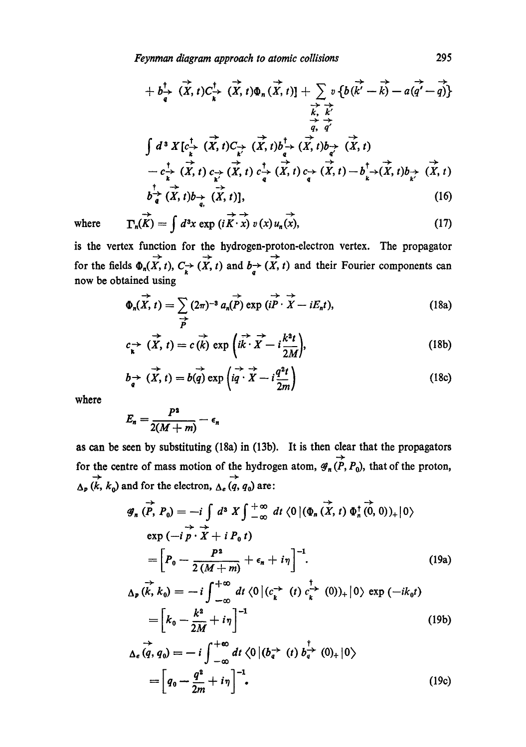*Feynman diagram approach to atomic collisions* 295

$$
+ b\frac{1}{q} \overrightarrow{X}, t) C\frac{1}{k} \overrightarrow{X}, t) \Phi_n(\overrightarrow{X}, t) \Big| + \sum_{\substack{k \\ k \\ k \\ k' \\ l}} v \{b(\overrightarrow{k'} - \overrightarrow{k}) - a(\overrightarrow{q'} - \overrightarrow{q})\} \n\frac{1}{k} \overrightarrow{X} \overrightarrow{q'} \n\int d^3 X \left[ c\frac{1}{k} \overrightarrow{X}, t \right] C\frac{1}{k'} \overrightarrow{X}, t) b\frac{1}{k'} \overrightarrow{X}, t) b\frac{1}{q'} \overrightarrow{X}, t) \n- c\frac{1}{k} \overrightarrow{X}, t) c\frac{1}{k'} \overrightarrow{X}, t) c\frac{1}{q} \overrightarrow{X}, t) c\frac{1}{q} \overrightarrow{X}, t) c\frac{1}{q} \overrightarrow{X}, t) b\frac{1}{k'} \overrightarrow{X}, t) b\frac{1}{q} \overrightarrow{X}, t) \nb\frac{1}{q} \overrightarrow{X}, t) b\frac{1}{q} \overrightarrow{X}, t) ],
$$
\n(16)

 $\rightarrow \rightarrow$   $\rightarrow$ where  $\Gamma_n(K) = \int d^3x \exp(iK \cdot x) v(x) u_n(x),$  (17)

is the vertex function for the hydrogen-proton-electron vertex. The propagator for the fields  $\Phi_n(\overrightarrow{X}, t)$ ,  $C^{\rightarrow}_{k}(X, t)$  and  $b^{\rightarrow}_{q}(X, t)$  and their Fourier components can now be obtained using

$$
\Phi_n(\overrightarrow{X}, t) = \sum_{\overrightarrow{P}} (2\pi)^{-3} a_n(\overrightarrow{P}) \exp(i\overrightarrow{P} \cdot \overrightarrow{X} - iE_n t), \qquad (18a)
$$

$$
c_{\kappa} \to (\vec{X}, t) = c(\vec{k}) \exp\left(i\vec{k} \cdot \vec{X} - i\frac{k^2t}{2M}\right),\tag{18b}
$$

$$
b_{\overrightarrow{q}} \overrightarrow{X}, t) = b(\overrightarrow{q}) \exp\left(i\overrightarrow{q} \cdot \overrightarrow{X} - i\frac{q^{2}t}{2m}\right)
$$
 (18c)

where

$$
E_n=\frac{P^2}{2(M+m)}-\epsilon_n
$$

as can be seen by substituting (18a) in (13b). It is then clear that the propagators for the centre of mass motion of the hydrogen atom,  $\overrightarrow{\mathcal{G}_n(P, P_0)}$ , that of the proton,  $\overrightarrow{\Delta_p}(k, k_0)$  and for the electron,  $\overrightarrow{\Delta_e}(q, q_0)$  are:

$$
\mathscr{G}_n \stackrel{\rightarrow}{(P, P_0)} = -i \int d^3 X \int_{-\infty}^{+\infty} dt \langle 0 | (\Phi_n \stackrel{\rightarrow}{(X, t)} \Phi_n^{\dagger} \stackrel{\rightarrow}{(0, 0)})_+ | 0 \rangle
$$
  
\n
$$
\exp(-i \stackrel{\rightarrow}{P} \cdot \stackrel{\rightarrow}{X} + i P_0 t)
$$
  
\n
$$
= \left[ P_0 - \frac{P^2}{2(M+m)} + \epsilon_n + i \eta \right]^{-1}.
$$
 (19a)

$$
\Delta_{\mathbf{p}}(\vec{k},k_0) = -i \int_{-\infty}^{+\infty} dt \langle 0 | (c_k^{\rightarrow} (t) c_k^{\rightarrow} (0))_+ | 0 \rangle \exp (-ik_0 t)
$$

$$
= \left[ k_0 - \frac{k^2}{2M} + i\eta \right]^{-1} \tag{19b}
$$

$$
\Delta_e \vec{q}, q_0 = -i \int_{-\infty}^{+\infty} dt \langle 0 | (b_{q}^{\rightarrow} (t) b_{q}^{\rightarrow} (0)_{+} | 0 \rangle
$$
  
=  $\left[ q_0 - \frac{q^2}{2m} + i \eta \right]^{-1}$ . (19c)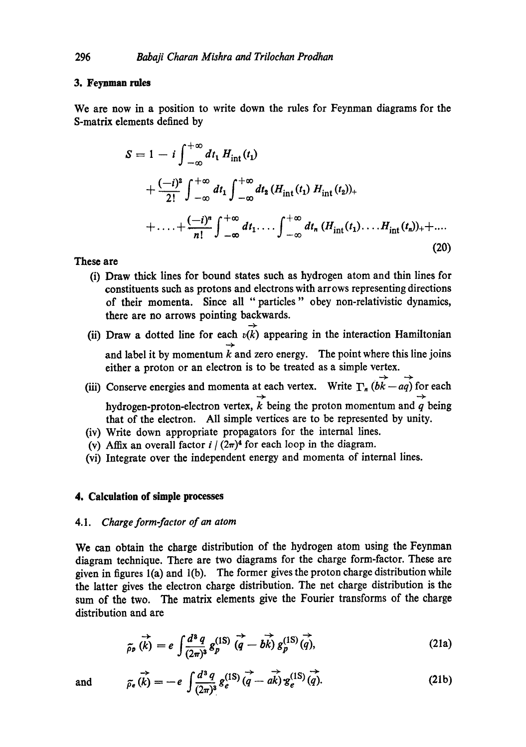## **3. Feymnan rules**

We are now in a position to write down the rules for Feynman diagrams for the S-matrix elements defined by

$$
S = 1 - i \int_{-\infty}^{+\infty} dt_1 H_{int}(t_1)
$$
  
+ 
$$
\frac{(-i)^2}{2!} \int_{-\infty}^{+\infty} dt_1 \int_{-\infty}^{+\infty} dt_2 (H_{int}(t_1) H_{int}(t_2))_+
$$
  
+ 
$$
\cdots + \frac{(-i)^n}{n!} \int_{-\infty}^{+\infty} dt_1 \cdots \int_{-\infty}^{+\infty} dt_n (H_{int}(t_1) \cdots H_{int}(t_n))_+ + \cdots
$$
(20)

## **These are**

- (i) Draw thick lines for bound states such as hydrogen atom and thin lines for constituents such as protons and electrons with arrows representing directions of their momenta. Since all "particles" obey non-relativistic dynamics, there are no arrows pointing backwards.
- (ii) Draw a dotted line for each  $v(k)$  appearing in the interaction Hamiltonian and label it by momentum  $\overline{k}$  and zero energy. The point where this line joins either a proton or an electron is to be treated as a simple vertex.
- (iii) Conserve energies and momenta at each vertex. Write  $\Gamma_n$  ( $\overrightarrow{bk} \overrightarrow{aq}$ ) for each hydrogen-proton-electron vertex,  $\overrightarrow{k}$  being the proton momentum and  $\overrightarrow{q}$  being that of the electron. All simple vertices are to be represented by unity.
- (iv) Write down appropriate propagators for the internal lines.
- (v) Affix an overall factor  $i/(2\pi)^4$  for each loop in the diagram.
- (vi) Integrate over the independent energy and momenta of internal lines.

## **4. Calculation of simple processes**

#### 4.1. *Charge form-factor of an atom*

We can obtain the charge distribution of the hydrogen atom using the Feynman diagram technique. There are two diagrams for the charge form-factor. These are given in figures l(a) and l(b). The former gives the proton charge distribution while the latter gives the electron charge distribution. The net charge distribution is the sum of the two. The matrix elements give the Fourier transforms of the charge distribution and are

$$
\overrightarrow{\tilde{\rho}_p}\left(\overrightarrow{k}\right) = e \int \frac{d^3 q}{(2\pi)^3} g_p^{(1S)}\left(\overrightarrow{q} - b\overrightarrow{k}\right) g_p^{(1S)}\left(\overrightarrow{q}\right),\tag{21a}
$$

and 
$$
\overrightarrow{\rho_e(k)} = -e \int \frac{d^3 q}{(2\pi)^3} g_e^{(1S)} \overrightarrow{q} - a\overrightarrow{k} g_e^{(1S)} \overrightarrow{q}.
$$
 (21b)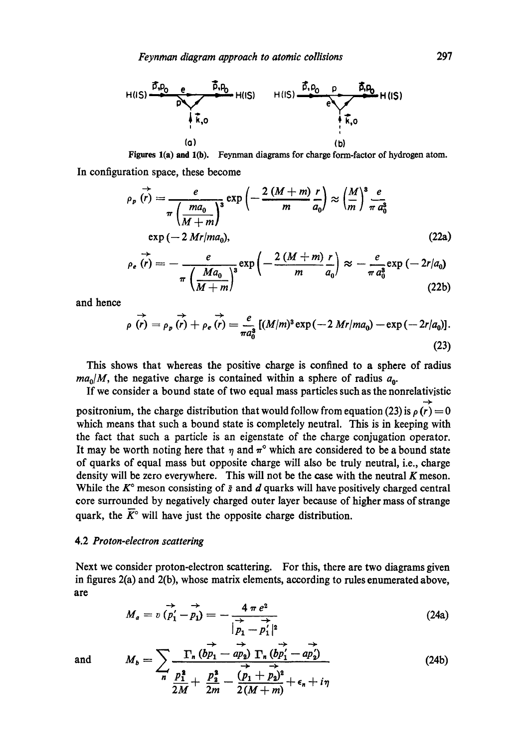

Figures 1(a) and 1(b). Feynman diagrams for charge form-factor of hydrogen atom.

**In configuration space, these become** 

$$
\rho_p(\vec{r}) = \frac{e}{\pi \left(\frac{ma_0}{M+m}\right)^3} \exp\left(-\frac{2\left(M+m\right)}{m} \frac{r}{a_0}\right) \approx \left(\frac{M}{m}\right)^3 \frac{e}{\pi a_0^3}
$$
\n
$$
\exp\left(-2\left(Mr\right)m a_0\right), \qquad (22a)
$$
\n
$$
\rho_e(\vec{r}) = -\frac{e}{\pi \left(\frac{Ma_0}{M+m}\right)^3} \exp\left(-\frac{2\left(M+m\right)}{m} \frac{r}{a_0}\right) \approx -\frac{e}{\pi a_0^3} \exp\left(-2r/a_0\right)
$$
\n
$$
(22b)
$$

and hence

$$
\rho(\vec{r}) = \rho_p(\vec{r}) + \rho_e(\vec{r}) = \frac{e}{\pi a_0^3} [(M/m)^3 \exp(-2Mr/m a_0) - \exp(-2r/a_0)].
$$
\n(23)

This shows that whereas the positive charge is confined to a sphere of radius  $ma_0/M$ , the negative charge is contained within a sphere of radius  $a_0$ .

If we consider a bound state of two equal mass particles such as the nonrelativistie positronium, the charge distribution that would follow from equation (23) is  $\rho(r) = 0$ which means that such a bound state is completely neutral. This is in keeping with the fact that such a particle is an eigenstate of the charge conjugation operator. It may be worth noting here that  $\eta$  and  $\pi$ ° which are considered to be a bound state of quarks of equal mass but opposite charge will also be truly neutral, i.e., charge density will be zero everywhere. This will not be the case with the neutral  $K$  meson. While the  $K^{\circ}$  meson consisting of  $\bar{s}$  and  $d$  quarks will have positively charged central core surrounded by negatively charged outer layer because of higher mass of strange quark, the  $\overline{K}^{\circ}$  will have just the opposite charge distribution.

## 4.2 *Proton-electron scattering*

Next we consider proton-electron scattering. For this, there are two diagrams given in figures 2(a) and 2(b), whose matrix elements, according to rules enumerated above, are

$$
M_a = v \overrightarrow{(p'_1 - p_1)} = -\frac{4 \pi e^2}{\overrightarrow{|p_1 - p'_1|^2}}
$$
 (24a)

and 
$$
M_b = \sum_{n} \frac{\Gamma_n (\overrightarrow{bp_1} - \overrightarrow{ap_2}) \Gamma_n (\overrightarrow{bp_1'} - \overrightarrow{ap_2'})}{\sum_{n} \frac{p_1^2}{2M} + \frac{p_2^2}{2m} - \frac{(p_1 + p_2)^2}{2(M + m)} + \epsilon_n + i\eta}
$$
 (24b)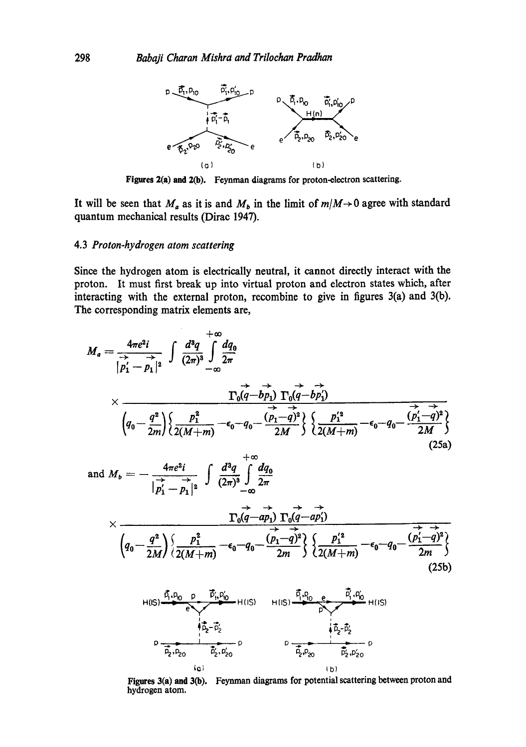

**Figures 2(a) and 2(b).** Feynman diagrams for proton-electron scattering.

It will be seen that  $M_a$  as it is and  $M_b$  in the limit of  $m/M \rightarrow 0$  agree with standard quantum mechanical results (Dirae 1947).

#### 4.3 *Proton-hydrogen atom scattering*

Since the hydrogen atom is electrically neutral, it cannot directly interact with the proton. It must first break up into virtual proton and electron states which, after interacting with the external proton, recombine to give in figures 3(a) and 3(b). The corresponding matrix elements are,

$$
M_{a} = \frac{4\pi e^{2}i}{|\vec{p}_{1} - \vec{p}_{1}|^{2}} \int \frac{d^{3}q}{(2\pi)^{3}} \int \frac{dq_{0}}{2\pi}
$$
  
\n
$$
\times \frac{\Gamma_{0}(q - b\vec{p}_{1}) \Gamma_{0}(q - b\vec{p}_{1})}{\sqrt{q_{0} - \frac{q^{2}}{2m}}} \times \frac{\Gamma_{0}(q - b\vec{p}_{1}) \Gamma_{0}(q - b\vec{p}_{1})}{\sqrt{\frac{q^{2}}{2(M+m)}} - \epsilon_{0} - q_{0} - \frac{(\vec{p}_{1} - \vec{q})^{2}}{2M}} \times \frac{\Gamma_{0}(q + b\vec{p}_{1})}{\sqrt{\frac{q^{2}}{2(M+m)}} - \epsilon_{0} - q_{0} - \frac{(\vec{p}_{1} - \vec{q})^{2}}{2M}} \times \frac{\Gamma_{0}(q - a\vec{p}_{1}) \Gamma_{0}(q - a\vec{p}_{1})}{\sqrt{\frac{q^{2}}{2m}} - \epsilon_{0} - q_{0} - \frac{(\vec{p}_{1} - \vec{q})^{2}}{2M}} \times \frac{\Gamma_{0}(q - a\vec{p}_{1}) \Gamma_{0}(q - a\vec{p}_{1})}{\sqrt{\frac{q^{2}}{2(M+m)}} - \epsilon_{0} - q_{0} - \frac{(\vec{p}_{1} - \vec{q})^{2}}{2M}} \times \frac{\Gamma_{0}(q - a\vec{p}_{1}) \Gamma_{0}(q - a\vec{p}_{1})}{\sqrt{\frac{q^{2}}{2(M+m)}} - \epsilon_{0} - q_{0} - \frac{(\vec{p}_{1} - \vec{q})^{2}}{2M}} \times \frac{\Gamma_{0}(q - a\vec{p}_{1}) \Gamma_{0}(q - a\vec{p}_{1})}{\sqrt{\frac{q^{2}}{2(M+m)}} - \epsilon_{0} - q_{0} - \frac{(\vec{p}_{1} - \vec{q})^{2}}{2M}} \times \frac{\Gamma_{0}(q - a\vec{p}_{1}) \Gamma_{0}(q - a\vec{p}_{1})}{\sqrt{\frac{q^{2}}{2(M+m)}} - \epsilon_{0} - q_{0} - \frac{(\vec{p}_{1} - \vec{q})^{2}}{2M}} \times \frac{\Gamma_{0}(q - a\vec{p}_{1}) \Gamma_{0}(q - a\vec{p}_{1})}{\sqrt{\frac{q^{2}}{2(M+m)}} - \epsilon_{0}
$$



Figures **3(a) and 3(B).** Feynman diagrams for potential scattering between proton and **hydrogen atom.**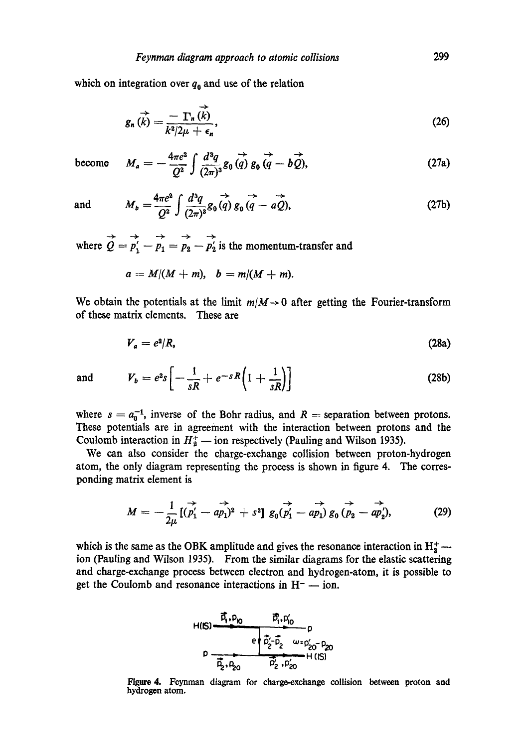which on integration over  $q_0$  and use of the relation

$$
g_n(\vec{k}) = \frac{-\Gamma_n(\vec{k})}{k^2/2\mu + \epsilon_n},
$$
\n(26)

become 
$$
M_a = -\frac{4\pi e^2}{Q^2} \int \frac{d^3q}{(2\pi)^3} g_0(\vec{q}) g_0(\vec{q} - b\vec{Q}), \qquad (27a)
$$

and 
$$
M_b = \frac{4\pi e^2}{Q^2} \int \frac{d^3q}{(2\pi)^3} g_0(q) \frac{d^3q}{d^3q} - \frac{d^3q}{d^3q}
$$
 (27b)

where  $\overrightarrow{Q} = \overrightarrow{p'_1} - \overrightarrow{p_1} = \overrightarrow{p_2} - \overrightarrow{p'_2}$  is the momentum-transfer and

$$
a = M/(M+m), \quad b = m/(M+m).
$$

We obtain the potentials at the limit  $m/M \rightarrow 0$  after getting the Fourier-transform of these matrix elements. These are

$$
V_a = e^2/R,\tag{28a}
$$

and 
$$
V_b = e^{2} s \left[ -\frac{1}{sR} + e^{-sR} \left( 1 + \frac{1}{sR} \right) \right]
$$
 (28b)

where  $s = a_0^{-1}$ , inverse of the Bohr radius, and  $R$  = separation between protons. These potentials are in agreement with the interaction between protons and the Coulomb interaction in  $H_2^+$  -- ion respectively (Pauling and Wilson 1935).

We can also consider the charge-exchange collision between proton-hydrogen atom, the only diagram representing the process is shown in figure 4. The corresponding matrix element is

$$
M = -\frac{1}{2\mu} [(\stackrel{\rightarrow}{p'_1} - a\stackrel{\rightarrow}{p_1})^2 + s^2] g_0(\stackrel{\rightarrow}{p'_1} - a\stackrel{\rightarrow}{p_1}) g_0(\stackrel{\rightarrow}{p_2} - a\stackrel{\rightarrow}{p'_2}), \qquad (29)
$$

which is the same as the OBK amplitude and gives the resonance interaction in  $H_2^+$  ion (Pauling and Wilson 1935). From the similar diagrams for the elastic scattering and charge-exchange process between electron and hydrogen-atom, it is possible to get the Coulomb and resonance interactions in  $H^-$  -- ion.



Figure 4. Feynman diagram for charge-exchange collision between proton **and**  hydrogen atom.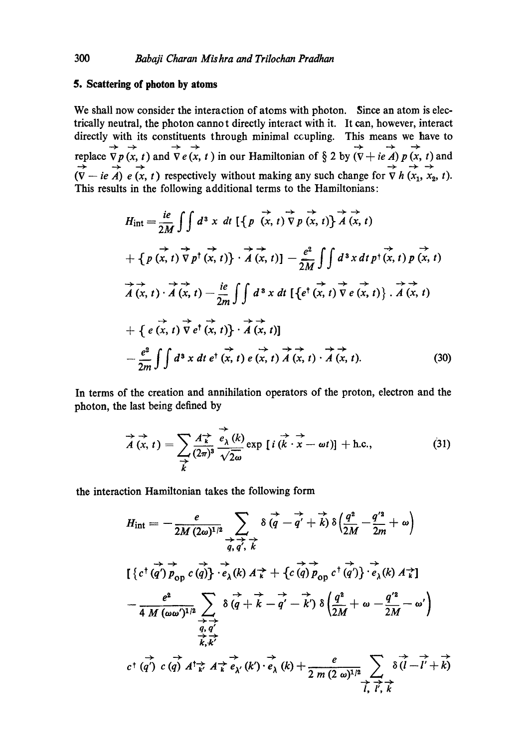## **5. Scattering of photon by atoms**

We shall now consider the interaction of atoms with photon. Since an atom is electrically neutral, the photon cannot directly interact with it. It can, however, interact directly with its constituents through minimal ccupling. This means we have to replace  $\nabla p(x, t)$  and  $\nabla e(x, t)$  in our Hamiltonian of § 2 by  $(\nabla + ie \, A) p(x, t)$  and  $(V - ie A) e (x, t)$  respectively without making any such change for  $\nabla h (x_1, x_2, t)$ . This results in the following additional terms to the Hamiltonians:

$$
H_{int} = \frac{ie}{2M} \int \int d^3 x dt \, \left[ \left\{ p \left( x, t \right) \overrightarrow{\nabla} p \left( x, t \right) \right\} \overrightarrow{A} \left( x, t \right) + \left\{ p \left( x, t \right) \overrightarrow{\nabla} p^{\dagger} \left( x, t \right) \right\} \cdot \overrightarrow{A} \left( x, t \right) \right] - \frac{e^2}{2M} \int \int d^3 x dt \, p^{\dagger} \left( x, t \right) p \left( x, t \right)
$$
  
\n
$$
\overrightarrow{A} \left( x, t \right) \cdot \overrightarrow{A} \left( x, t \right) - \frac{ie}{2m} \int \int d^3 x dt \, \left[ \left\{ e^{\dagger} \left( x, t \right) \overrightarrow{\nabla} e \left( x, t \right) \right\} \cdot \overrightarrow{A} \left( x, t \right) \right.
$$
  
\n
$$
+ \left\{ e \left( x, t \right) \overrightarrow{\nabla} e^{\dagger} \left( x, t \right) \right\} \cdot \overrightarrow{A} \left( x, t \right) \right]
$$
  
\n
$$
- \frac{e^2}{2m} \int \int d^3 x dt \, e^{\dagger} \left( x, t \right) e \left( x, t \right) \overrightarrow{A} \left( x, t \right) \cdot \overrightarrow{A} \left( x, t \right).
$$
 (30)

In terms of the creation and annihilation operators of the proton, electron and the photon, the last being defined by

$$
\overrightarrow{A}(x,t) = \sum_{\substack{\rightarrow \\ k}} \frac{A_{k}^{\rightarrow}}{(2\pi)^{3}} \frac{\overrightarrow{e_{\lambda}}(k)}{\sqrt{2\omega}} \exp [i(\overrightarrow{k} \cdot \overrightarrow{x} - \omega t)] + \text{h.c.}, \tag{31}
$$

the interaction Hamiltonian takes the following form

$$
H_{int} = -\frac{e}{2M(2\omega)^{1/2}} \sum_{\substack{\vec{q}, \vec{q'} \ \vec{\phi} \\ \vec{q}, \vec{q'} \neq \vec{k}}} \delta(\vec{q} - \vec{q'} + \vec{k}) \delta(\frac{q^2}{2M} - \frac{q'^2}{2m} + \omega)
$$
  

$$
[\{c^{\dagger}(\vec{q'})\vec{p}_{\text{op}}\ c(\vec{q})\} \cdot \vec{e}_{\lambda}(k) A \vec{k} + \{c(\vec{q})\vec{p}_{\text{op}}\ c^{\dagger}(\vec{q'})\} \cdot \vec{e}_{\lambda}(k) A \vec{k}]
$$

$$
- \frac{e^2}{4M(\omega\omega')^{1/2}} \sum_{\substack{\vec{q}, \vec{q'} \\ \vec{k}, \vec{k'}} \delta(\vec{q} + \vec{k} - \vec{q'} - \vec{k'}) \delta(\frac{q^2}{2M} + \omega - \frac{q'^2}{2M} - \omega')
$$

$$
\vec{k}, \vec{k'}
$$

$$
c^{\dagger}(\vec{q'})\ c(\vec{q}) A^{\dagger} \vec{k} A \vec{k} \vec{e}_{\lambda'}(k') \cdot \vec{e}_{\lambda}(k) + \frac{e}{2m(2\omega)^{1/2}} \sum_{\vec{l}, \vec{l}, \vec{k}} \delta(\vec{l} - \vec{l'} + \vec{k})
$$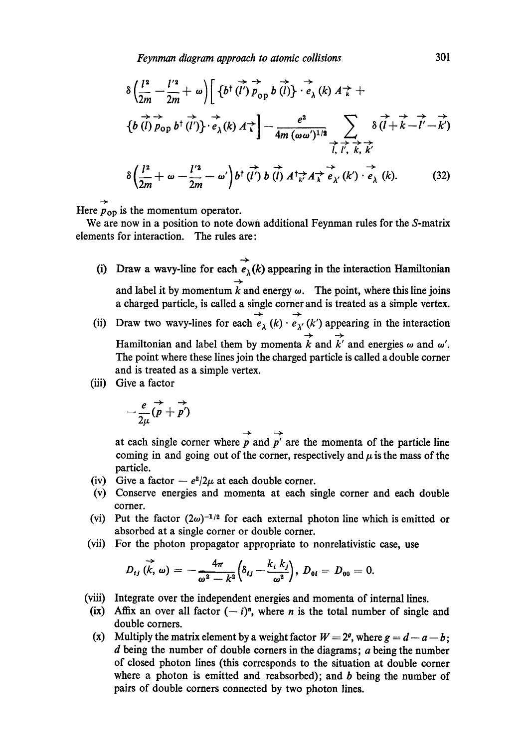*Feynman diagram approach to atomic collisions* 301

$$
\delta \left( \frac{l^2}{2m} - \frac{l'^2}{2m} + \omega \right) \left[ \left\{ b^\dagger (\vec{l}') \overrightarrow{p}_{\text{op}} b (\vec{l}) \right\} \cdot \overrightarrow{e}_{\lambda} (k) A \overrightarrow{\kappa} + \left\{ b (\vec{l}) \overrightarrow{p}_{\text{op}} b^\dagger (\vec{l}') \right\} \cdot \overrightarrow{e}_{\lambda} (k) A \overrightarrow{\kappa} \right] - \frac{e^2}{4m (\omega \omega')^{1/2}} \sum_{\vec{l}, \vec{l}', \vec{k}, \vec{k'}} \delta (\vec{l} + \vec{k} - \vec{l}' - \vec{k}')
$$

$$
\delta \left( \frac{l^2}{2m} + \omega - \frac{l'^2}{2m} - \omega' \right) b^\dagger (\vec{l}') b (\vec{l}) A^\dagger \overrightarrow{\kappa} A \overrightarrow{\kappa} e_{\lambda'} (k') \cdot \overrightarrow{e}_{\lambda} (k). \tag{32}
$$

Here  $p_{op}$  is the momentum operator.

We are now in a position to note down additional Feynman rules for the S-matrix elements for interaction. The rules are:

- (i) Draw a wavy-line for each  $\overrightarrow{e}_{\lambda}(k)$  appearing in the interaction Hamiltonian and label it by momentum k and energy  $\omega$ . The point, where this line joins a charged particle, is called a single comer and is treated as a simple vertex.
- (ii) Draw two wavy-lines for each  $\overrightarrow{e}_{\lambda}$  (k)  $\overrightarrow{e}_{\lambda'}$  (k') appearing in the interaction Hamiltonian and label them by momenta k and k' and energies  $\omega$  and  $\omega'$ . The point where these lines join the charged particle is called a double corner and is treated as a simple vertex.
- (iii) Give a factor

$$
-\frac{e}{2\mu}(\vec{p}+\vec{p'})
$$

at each single corner where  $\overrightarrow{p}$  and  $\overrightarrow{p}'$  are the momenta of the particle line coming in and going out of the corner, respectively and  $\mu$  is the mass of the particle.

- (iv) Give a factor  $-e^2/2\mu$  at each double corner.
- (v) Conserve energies and momenta at each single comer and each double corner.
- (vi) Put the factor  $(2\omega)^{-1/2}$  for each external photon line which is emitted or absorbed at a single comer or double corner.
- (vii) For the photon propagator appropriate to nonrelativistic case, use

$$
D_{ij}(\vec{k},\,\omega)=-\frac{4\pi}{\omega^2-k^2}\Big(\delta_{ij}-\frac{k_i k_j}{\omega^2}\Big),\ D_{0i}=D_{00}=0.
$$

- (viii) Integrate over the independent energies and momenta of internal lines.
- (ix) Affix an over all factor  $(-i)^n$ , where *n* is the total number of single and double comers.
- (x) Multiply the matrix element by a weight factor  $W = 2^{\rho}$ , where  $g = d a b$ ; d being the number of double corners in the diagrams;  $a$  being the number of closed photon lines (this corresponds to the situation at double comer where a photon is emitted and reabsorbed); and  $b$  being the number of pairs of double comers connected by two photon lines.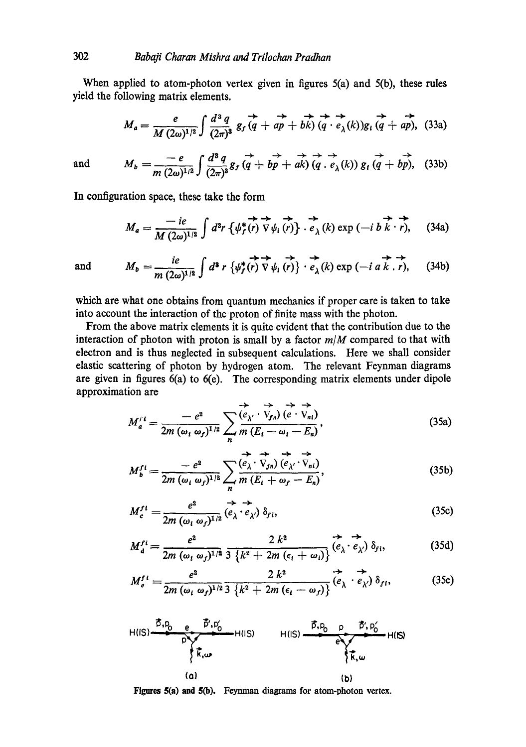When applied to atom-photon vertex given in figures 5(a) and 5(b), these rules yield the following matrix elements.

$$
M_a = \frac{e}{M(2\omega)^{1/2}} \int \frac{d^3 q}{(2\pi)^3} g_f \overrightarrow{q} + a\overrightarrow{p} + b\overrightarrow{k} \cdot \overrightarrow{q} + \overrightarrow{e_\lambda(k)} g_i \overrightarrow{q} + a\overrightarrow{p}, \quad (33a)
$$

and 
$$
M_b = \frac{-e}{m (2\omega)^{1/2}} \int \frac{d^3 q}{(2\pi)^3} g_f \overrightarrow{q} + b\overrightarrow{p} + a\overrightarrow{k} \overrightarrow{q} \cdot \overrightarrow{e}_{\lambda}(k) g_i \overrightarrow{q} + b\overrightarrow{p}
$$
 (33b)

In configuration space, these take the form

$$
M_a = \frac{-ie}{M(2\omega)^{1/2}} \int d^3r \left\{ \psi_f^*(r) \overrightarrow{\nabla} \psi_i(r) \right\} \cdot \overrightarrow{e}_{\lambda}(k) \exp\left(-i b \overrightarrow{k} \cdot \overrightarrow{r}\right), \quad (34a)
$$

and 
$$
M_b = \frac{ie}{m (2\omega)^{1/2}} \int d^3 r \left\{ \psi_f^*(r) \nabla \psi_i(r) \right\} \cdot \overrightarrow{e}_{\lambda}(k) \exp \left(-i a k . r \right), \quad (34b)
$$

which are what one obtains from quantum mechanics if proper care is taken to take into account the interaction of the proton of finite mass with the photon.

From the above matrix elements it is quite evident that the contribution due to the interaction of photon with proton is small by a factor *m/M* compared to that with electron and is thus neglected in subsequent calculations. Here we shall consider elastic scattering of photon by hydrogen atom. The relevant Feynman diagrams are given in figures 6(a) to 6(e). The corresponding matrix elements under dipole approximation are

$$
M_a^{rt} = \frac{-e^2}{2m \ (\omega_i \ \omega_f)^{1/2}} \sum_n \overbrace{\frac{\langle e_{\lambda'} \cdot \overrightarrow{v}_{fn} \rangle}{m \ (E_i - \omega_i - E_n)}}^{\overbrace{\leftarrow} \overrightarrow{v}_{ni} \ \overrightarrow{v}_{ni}}.
$$
 (35a)

$$
M_b^{f1} = \frac{-e^2}{2m \ (\omega_i \ \omega_f)^{1/2}} \sum_n \overbrace{\frac{(e_\lambda \cdot \overrightarrow{V}_{fn}) (e_{\lambda'} \cdot \overrightarrow{V}_{ni})}{m (E_i + \omega_f - E_n)} }^{(25b)},
$$

$$
M_c^{f1} = \frac{e^2}{2m \ (\omega_i \ \omega_f)^{1/2}} \stackrel{\rightarrow}{(e_{\lambda} \cdot e_{\lambda'})} \delta_{f1},\tag{35c}
$$

$$
M_d^{f1} = \frac{e^2}{2m \ (\omega_i \ \omega_f)^{1/2}} \frac{2 k^2}{3 \ \{k^2 + 2m \ (\epsilon_i + \omega_i)\}} \stackrel{\leftrightarrow}{(e_{\lambda} \cdot e_{\lambda'})} \delta_{f1}, \tag{35d}
$$

$$
M_e^{f i} = \frac{e^2}{2m (\omega_i \omega_f)^{1/2} \cdot 3 \cdot \left\{k^2 + 2m (\epsilon_i - \omega_f)\right\}} \stackrel{\rightarrow}{(e_{\lambda} \cdot e_{\lambda'})} \stackrel{\rightarrow}{\delta_{f i}}, \tag{35e}
$$

$$
H(IS) \xrightarrow{\vec{D}, D_{0}} e \xrightarrow{\vec{D}', D'_{0}} H(IS) \xrightarrow{\vec{D}, D_{0}} P \xrightarrow{\vec{D}', D'_{0}} H(IS)
$$
\n(a)\n(b)\n
$$
(a)
$$

**Figures 5(a) and 5(b).** Feynman diagrams for atom-photon vertex.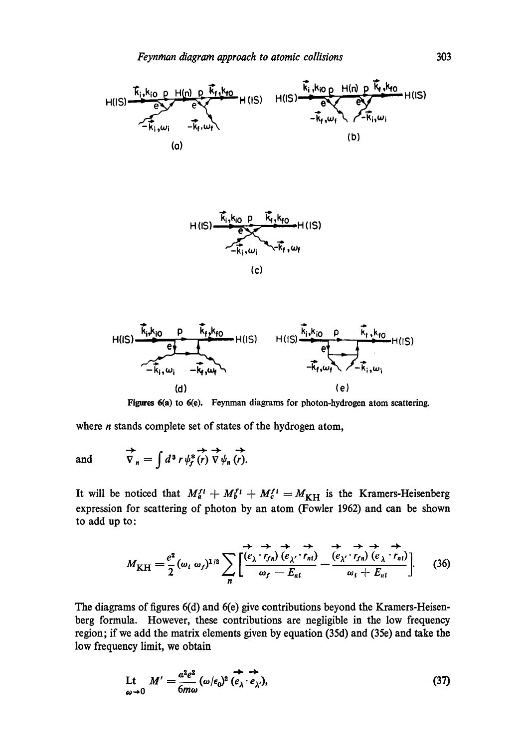





**Figures 6(a) to 6(e).** Feynman diagrams for photon-hydrogen atom scattering.

where *n* stands complete set of states of the hydrogen atom,

→ , →→ → and  $\nabla_n = \int d^3 r \psi_f^*(r) \nabla \psi_n(r)$ .

It will be noticed that  $M_a^{f i} + M_b^{f i} + M_c^{f i} = M_{\text{KH}}$  is the Kramers-Heisenberg expression for scattering of photon by an atom (Fowler 1962) and can be shown to add up to:

$$
M_{\rm KH} = \frac{e^2}{2} (\omega_i \omega_f)^{1/2} \sum_n \left[ \frac{\overrightarrow{(e_\lambda \cdot r_{fn})} \overrightarrow{(e_{\lambda'} \cdot r_{nl})}}{\omega_f - E_{ni}} - \frac{\overrightarrow{(e_{\lambda'} \cdot r_{fn})} \overrightarrow{(e_\lambda \cdot r_{nl})}}{\omega_i + E_{ni}} \right].
$$
 (36)

The diagrams of figures 6(d) and 6(e) give contributions beyond the Kramers-Heisenberg formula. However, these contributions are negligible in the low frequency region; if we add the matrix elements given by equation (35d) and (35e) and take the low frequency limit, we obtain

$$
\begin{array}{ll}\n\text{Lt} & M' = \frac{\alpha^2 e^2}{6m\omega} \left( \omega/\epsilon_0 \right)^2 \stackrel{\leftrightarrow}{(e_\lambda \cdot e_{\lambda'})},\n\end{array} \tag{37}
$$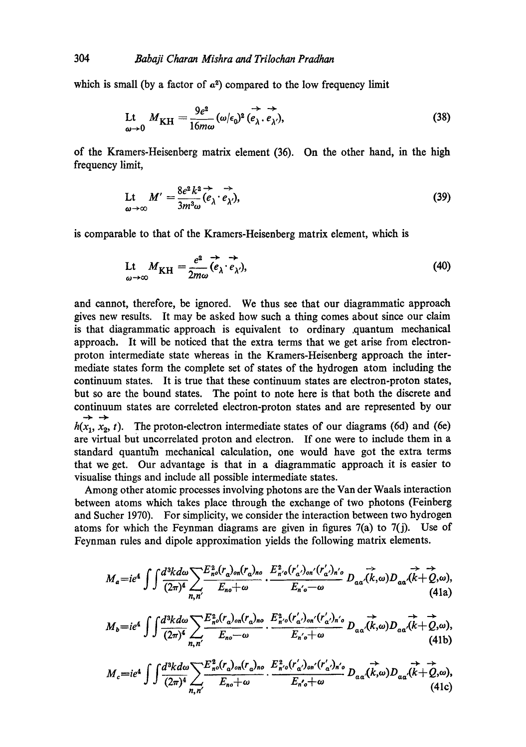which is small (by a factor of  $\alpha^2$ ) compared to the low frequency limit

$$
\mathcal{L}t_{\omega \to 0} M_{\rm KH} = \frac{9e^2}{16m\omega} (\omega/\epsilon_0)^2 \stackrel{\rightarrow}{(e_{\lambda}, e_{\lambda'})},
$$
 (38)

of the Kramers-Heisenberg matrix element (36). On the other hand, in the high frequency limit,

$$
\mathcal{L}t \underset{\omega \to \infty}{\longrightarrow} M' = \frac{8e^2k^2}{3m^3\omega} \stackrel{\rightarrow}{(e_{\lambda} \cdot e_{\lambda'})},
$$
(39)

is comparable to that of the Kramers-Heisenberg matrix element, which is

$$
\mathcal{L}_{\omega \to \infty} M_{\rm KH} = \frac{e^2}{2m\omega} \stackrel{\rightarrow}{(e_{\lambda} \cdot e_{\lambda'})},\tag{40}
$$

and cannot, therefore, be ignored. We thus see that our diagrammatic approach gives new results. It may be asked how such a thing comes about since our claim is that diagrammatic approach is equivalent to ordinary .quantum mechanical approach. It will be noticed that the extra terms that we get arise from electronproton intermediate state whereas in the Kramers-Heisenberg approach the intermediate states form the complete set of states of the hydrogen atom including the continuum states. It is true that these continuum states are electron-proton states, but so are the bound states. The point to note here is that both the discrete and continuum states are correleted electron-proton states and are represented by our  $\rightarrow$  $h(x_1, x_2, t)$ . The proton-electron intermediate states of our diagrams (6d) and (6e) are virtual but uncorrelated proton and electron. If one were to include them in a standard quantu'm mechanical calculation, one would have got the extra terms that we get. Our advantage is that in a diagrammatic approach it is easier to visualise things and include all possible intermediate states.

Among other atomic processes involving photons are the Van der Waals interaction between atoms which takes place through the exchange of two photons (Feinberg and Sucher 1970). For simplicity, we consider the interaction between two hydrogen atoms for which the Feynman diagrams are given in figures  $7(a)$  to  $7(j)$ . Use of Feynman rules and dipole approximation yields the following matrix elements.

$$
M_a = ie^4 \int \int \frac{d^3k d\omega}{(2\pi)^4} \sum_{n,n'} \frac{E_{n0}^2(r_a)_{on}(r_a)_{no}}{E_{n0} + \omega} \cdot \frac{E_{n'0}^2(r'_a)_{on'}(r'_a)_{n'0}}{E_{n'0} - \omega} D_{aa}(\vec{k},\omega) D_{aa}(\vec{k} + \vec{Q},\omega),
$$
\n(41a)

$$
M_b = ie^4 \int \int \frac{d^3k d\omega}{(2\pi)^4} \sum_{n,n'} \frac{E_{n0}^2(r_a)_{on}(r_a)_{no}}{E_{n0} - \omega} \cdot \frac{E_{n'0}^2(r'_a')_{on'}(r'_a')_{n'0}}{E_{n'0} + \omega} D_{aa'}(k, \omega) D_{aa'}(k+Q, \omega),
$$
\n(41b)

$$
M_c = ie^4 \int \int \frac{d^3k d\omega}{(2\pi)^4} \sum_{n,n'} \frac{E_{n0}^2(r_a)_{on}(r_a)_{no}}{E_{n0} + \omega} \cdot \frac{E_{n'0}^2(r'_a)_{on'}(r'_a)_{n'0}}{E_{n'0} + \omega} D_{\alpha\alpha}(\vec{k},\omega) D_{\alpha\alpha}(\vec{k} + \vec{Q},\omega),
$$
\n(41c)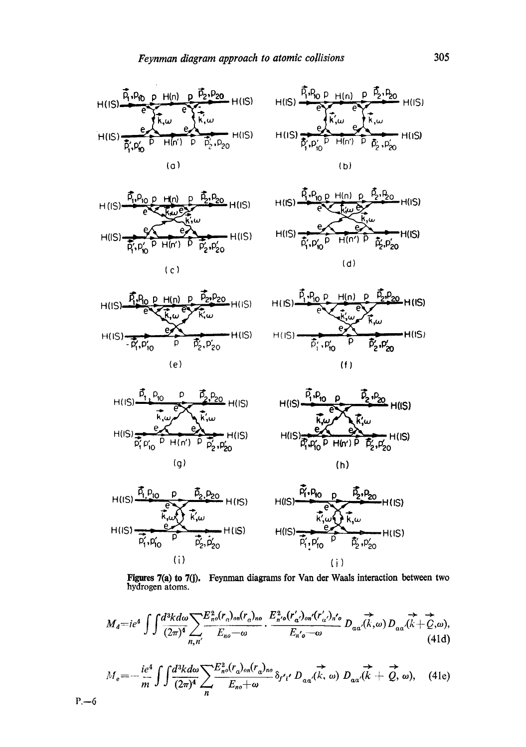



$$
\mathsf{c}
$$











 $P. -6$ 





**Figures 7(a) to 7(j).** hydrogen atoms. **Feynman diagrams for Van der Waals interaction between** two

$$
M_{d}=ie^{4}\int\int\frac{d^{3}kd\omega}{(2\pi)^{4}}\sum_{n,n'}\frac{E_{n0}^{2}(r_{\alpha})_{on}(r_{\alpha})_{no}}{E_{n0}-\omega}\cdot\frac{E_{n'0}^{2}(r_{\alpha}')_{on'}(r_{\alpha}')_{n'0}}{E_{n'0}-\omega}D_{\alpha\alpha'}(\vec{k},\omega)D_{\alpha\alpha'}(\vec{k}+\vec{Q},\omega),\tag{41d}
$$

$$
M_e = -\frac{ie^4}{m} \int \int \frac{d^3k d\omega}{(2\pi)^4} \sum_n \frac{E_{n0}^2(r_a)_{on}(r_a)_{no}}{E_{n0} + \omega} \delta_{f'i'} D_{\alpha\alpha'}(\vec{k}, \omega) D_{\alpha\alpha'}(\vec{k} + \vec{Q}, \omega), \quad (41e)
$$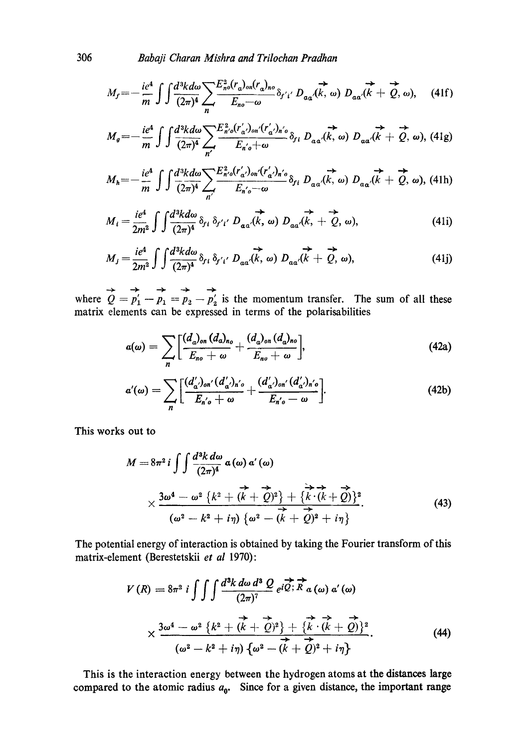$$
M_f = -\frac{ie^4}{m} \int \int \frac{d^3k d\omega}{(2\pi)^4} \sum_n \frac{E_{n0}^2(r_a)_{on}(r_a)_{no}}{E_{no}-\omega} \delta_{f'i'} D_{aa'}(\vec{k},\,\omega) D_{aa'}(\vec{k}+\vec{Q},\,\omega), \quad (41f)
$$

$$
M_g = -\frac{ie^4}{m} \int \int \frac{d^3k d\omega}{(2\pi)^4} \sum_{n'} \frac{E_{n'0}^2(r'_{\alpha'})_{0n'}(r'_{\alpha'})_{n'}\partial_{\beta i}}{E_{n'0} + \omega} \delta_{f1} D_{aa'}(\vec{k}, \omega) D_{aa'}(\vec{k} + \vec{Q}, \omega), (41g)
$$

$$
M_h = -\frac{ie^4}{m} \int \int \frac{d^3k d\omega}{(2\pi)^4} \sum_{n'} \frac{E_{n'0}^2(r'_{\alpha'})_{n'}(r'_{\alpha'})_{n'}\delta_{\beta i}}{E_{n'\circ} - \omega} \delta_{\beta i} D_{\alpha\alpha'}(\vec{k}, \omega) D_{\alpha\alpha'}(\vec{k} + \vec{Q}, \omega), \text{ (41h)}
$$

$$
M_i = \frac{ie^4}{2m^2} \int \int \frac{d^3k d\omega}{(2\pi)^4} \, \delta_{f\,i} \, \delta_{f'\,i'} \, D_{\alpha\alpha'}(\vec{k},\,\omega) \, D_{\alpha\alpha'}(\vec{k},\,+\stackrel{\rightarrow}{Q},\,\omega), \tag{41i}
$$

$$
M_j = \frac{ie^4}{2m^2} \int \int \frac{d^3k d\omega}{(2\pi)^4} \delta_{f\,i} \delta_{f'i'} D_{\alpha\alpha}(\vec{k}, \omega) D_{\alpha\alpha}(\vec{k} + \vec{Q}, \omega), \tag{41}
$$

where  $Q = p'_1 - p_1 = p_2 - p'_2$  is the momentum transfer. The sum of all these matrix elements can be expressed in terms of the polarisabilities

$$
a(\omega)=\sum_{n}\Big[\frac{(d_{\alpha})_{\text{on}}(d_{\alpha})_{n_{0}}}{E_{\text{no}}+\omega}+\frac{(d_{\alpha})_{\text{on}}(d_{\alpha})_{n_{0}}}{E_{\text{no}}+\omega}\Big],\hspace{1cm}(42a)
$$

$$
\alpha'(\omega) = \sum_{n} \left[ \frac{(d'_{\alpha})_{\text{on}'}(d'_{\alpha})_{\text{n}'\text{o}}}{E_{\text{n}'\text{o}} + \omega} + \frac{(d'_{\alpha})_{\text{on}'}(d'_{\alpha})_{\text{n}'\text{o}}}{E_{\text{n}'\text{o}} - \omega} \right].
$$
\n(42b)

This works out to

$$
M = 8\pi^2 i \int \int \frac{d^3k d\omega}{(2\pi)^4} \alpha(\omega) \alpha'(\omega)
$$
  
 
$$
\times \frac{3\omega^4 - \omega^2 \left\{k^2 + (\vec{k} + \vec{Q})^2\right\} + \left\{\vec{k} \cdot (\vec{k} + \vec{Q})\right\}^2}{(\omega^2 - k^2 + i\eta) \left\{\omega^2 - (\vec{k} + \vec{Q})^2 + i\eta\right\}}.
$$
 (43)

The potential energy of interaction is obtained by taking the Fourier transform of this matrix-element (Berestetskii *et al* 1970):

$$
V(R) = 8\pi^2 i \int \int \int \frac{d^3k \, d\omega \, d^3 Q}{(2\pi)^7} e^{i\vec{Q} \cdot \vec{R}} \vec{R} \, a \, (\omega) \, a' \, (\omega)
$$

$$
\times \frac{3\omega^4 - \omega^2 \left\{ k^2 + (k + \vec{Q})^2 \right\} + \left\{ k \cdot (k + \vec{Q})^2 \right\}}{(\omega^2 - k^2 + i\eta) \left\{ \omega^2 - (k + \vec{Q})^2 + i\eta \right\}}.
$$
(44)

This is the interaction energy between the hydrogen atoms at the distances large compared to the atomic radius  $a_0$ . Since for a given distance, the important range